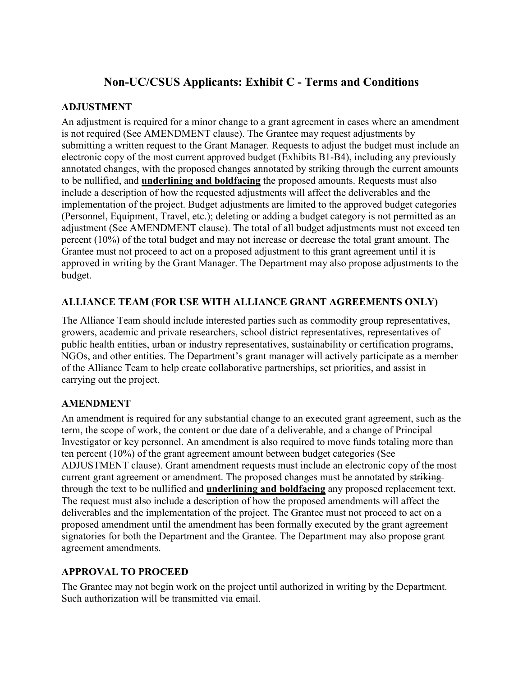# **Non-UC/CSUS Applicants: Exhibit C - Terms and Conditions**

### **ADJUSTMENT**

An adjustment is required for a minor change to a grant agreement in cases where an amendment is not required (See AMENDMENT clause). The Grantee may request adjustments by submitting a written request to the Grant Manager. Requests to adjust the budget must include an electronic copy of the most current approved budget (Exhibits B1-B4), including any previously annotated changes, with the proposed changes annotated by striking through the current amounts to be nullified, and **underlining and boldfacing** the proposed amounts. Requests must also include a description of how the requested adjustments will affect the deliverables and the implementation of the project. Budget adjustments are limited to the approved budget categories (Personnel, Equipment, Travel, etc.); deleting or adding a budget category is not permitted as an adjustment (See AMENDMENT clause). The total of all budget adjustments must not exceed ten percent (10%) of the total budget and may not increase or decrease the total grant amount. The Grantee must not proceed to act on a proposed adjustment to this grant agreement until it is approved in writing by the Grant Manager. The Department may also propose adjustments to the budget.

### **ALLIANCE TEAM (FOR USE WITH ALLIANCE GRANT AGREEMENTS ONLY)**

The Alliance Team should include interested parties such as commodity group representatives, growers, academic and private researchers, school district representatives, representatives of public health entities, urban or industry representatives, sustainability or certification programs, NGOs, and other entities. The Department's grant manager will actively participate as a member of the Alliance Team to help create collaborative partnerships, set priorities, and assist in carrying out the project.

### **AMENDMENT**

An amendment is required for any substantial change to an executed grant agreement, such as the term, the scope of work, the content or due date of a deliverable, and a change of Principal Investigator or key personnel. An amendment is also required to move funds totaling more than ten percent (10%) of the grant agreement amount between budget categories (See ADJUSTMENT clause). Grant amendment requests must include an electronic copy of the most current grant agreement or amendment. The proposed changes must be annotated by striking through the text to be nullified and **underlining and boldfacing** any proposed replacement text. The request must also include a description of how the proposed amendments will affect the deliverables and the implementation of the project. The Grantee must not proceed to act on a proposed amendment until the amendment has been formally executed by the grant agreement signatories for both the Department and the Grantee. The Department may also propose grant agreement amendments.

### **APPROVAL TO PROCEED**

The Grantee may not begin work on the project until authorized in writing by the Department. Such authorization will be transmitted via email.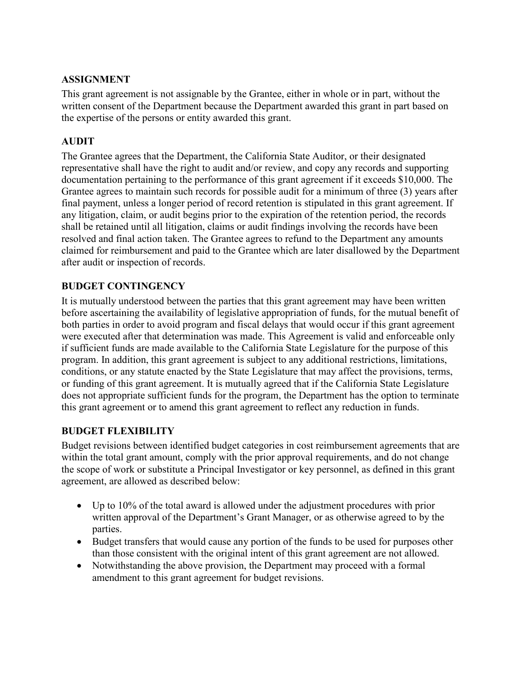### **ASSIGNMENT**

This grant agreement is not assignable by the Grantee, either in whole or in part, without the written consent of the Department because the Department awarded this grant in part based on the expertise of the persons or entity awarded this grant.

### **AUDIT**

The Grantee agrees that the Department, the California State Auditor, or their designated representative shall have the right to audit and/or review, and copy any records and supporting documentation pertaining to the performance of this grant agreement if it exceeds \$10,000. The Grantee agrees to maintain such records for possible audit for a minimum of three (3) years after final payment, unless a longer period of record retention is stipulated in this grant agreement. If any litigation, claim, or audit begins prior to the expiration of the retention period, the records shall be retained until all litigation, claims or audit findings involving the records have been resolved and final action taken. The Grantee agrees to refund to the Department any amounts claimed for reimbursement and paid to the Grantee which are later disallowed by the Department after audit or inspection of records.

### **BUDGET CONTINGENCY**

It is mutually understood between the parties that this grant agreement may have been written before ascertaining the availability of legislative appropriation of funds, for the mutual benefit of both parties in order to avoid program and fiscal delays that would occur if this grant agreement were executed after that determination was made. This Agreement is valid and enforceable only if sufficient funds are made available to the California State Legislature for the purpose of this program. In addition, this grant agreement is subject to any additional restrictions, limitations, conditions, or any statute enacted by the State Legislature that may affect the provisions, terms, or funding of this grant agreement. It is mutually agreed that if the California State Legislature does not appropriate sufficient funds for the program, the Department has the option to terminate this grant agreement or to amend this grant agreement to reflect any reduction in funds.

### **BUDGET FLEXIBILITY**

Budget revisions between identified budget categories in cost reimbursement agreements that are within the total grant amount, comply with the prior approval requirements, and do not change the scope of work or substitute a Principal Investigator or key personnel, as defined in this grant agreement, are allowed as described below:

- Up to 10% of the total award is allowed under the adjustment procedures with prior written approval of the Department's Grant Manager, or as otherwise agreed to by the parties.
- Budget transfers that would cause any portion of the funds to be used for purposes other than those consistent with the original intent of this grant agreement are not allowed.
- Notwithstanding the above provision, the Department may proceed with a formal amendment to this grant agreement for budget revisions.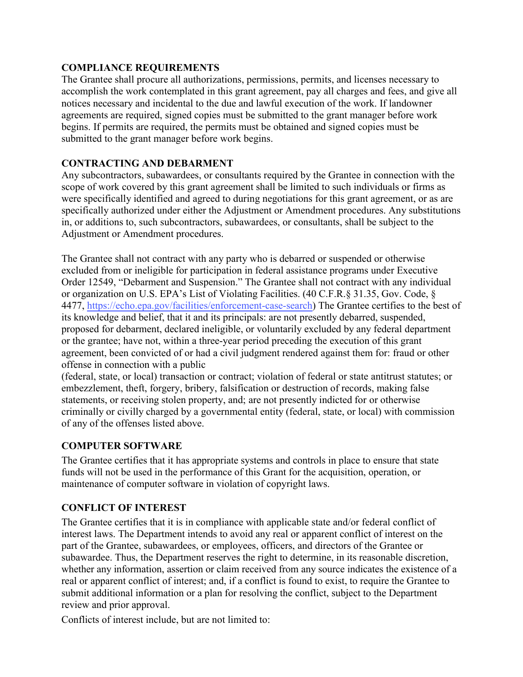### **COMPLIANCE REQUIREMENTS**

The Grantee shall procure all authorizations, permissions, permits, and licenses necessary to accomplish the work contemplated in this grant agreement, pay all charges and fees, and give all notices necessary and incidental to the due and lawful execution of the work. If landowner agreements are required, signed copies must be submitted to the grant manager before work begins. If permits are required, the permits must be obtained and signed copies must be submitted to the grant manager before work begins.

#### **CONTRACTING AND DEBARMENT**

Any subcontractors, subawardees, or consultants required by the Grantee in connection with the scope of work covered by this grant agreement shall be limited to such individuals or firms as were specifically identified and agreed to during negotiations for this grant agreement, or as are specifically authorized under either the Adjustment or Amendment procedures. Any substitutions in, or additions to, such subcontractors, subawardees, or consultants, shall be subject to the Adjustment or Amendment procedures.

The Grantee shall not contract with any party who is debarred or suspended or otherwise excluded from or ineligible for participation in federal assistance programs under Executive Order 12549, "Debarment and Suspension." The Grantee shall not contract with any individual or organization on U.S. EPA's List of Violating Facilities. (40 C.F.R.§ 31.35, Gov. Code, § 4477, <https://echo.epa.gov/facilities/enforcement-case-search>) The Grantee certifies to the best of its knowledge and belief, that it and its principals: are not presently debarred, suspended, proposed for debarment, declared ineligible, or voluntarily excluded by any federal department or the grantee; have not, within a three-year period preceding the execution of this grant agreement, been convicted of or had a civil judgment rendered against them for: fraud or other offense in connection with a public

(federal, state, or local) transaction or contract; violation of federal or state antitrust statutes; or embezzlement, theft, forgery, bribery, falsification or destruction of records, making false statements, or receiving stolen property, and; are not presently indicted for or otherwise criminally or civilly charged by a governmental entity (federal, state, or local) with commission of any of the offenses listed above.

### **COMPUTER SOFTWARE**

The Grantee certifies that it has appropriate systems and controls in place to ensure that state funds will not be used in the performance of this Grant for the acquisition, operation, or maintenance of computer software in violation of copyright laws.

### **CONFLICT OF INTEREST**

The Grantee certifies that it is in compliance with applicable state and/or federal conflict of interest laws. The Department intends to avoid any real or apparent conflict of interest on the part of the Grantee, subawardees, or employees, officers, and directors of the Grantee or subawardee. Thus, the Department reserves the right to determine, in its reasonable discretion, whether any information, assertion or claim received from any source indicates the existence of a real or apparent conflict of interest; and, if a conflict is found to exist, to require the Grantee to submit additional information or a plan for resolving the conflict, subject to the Department review and prior approval.

Conflicts of interest include, but are not limited to: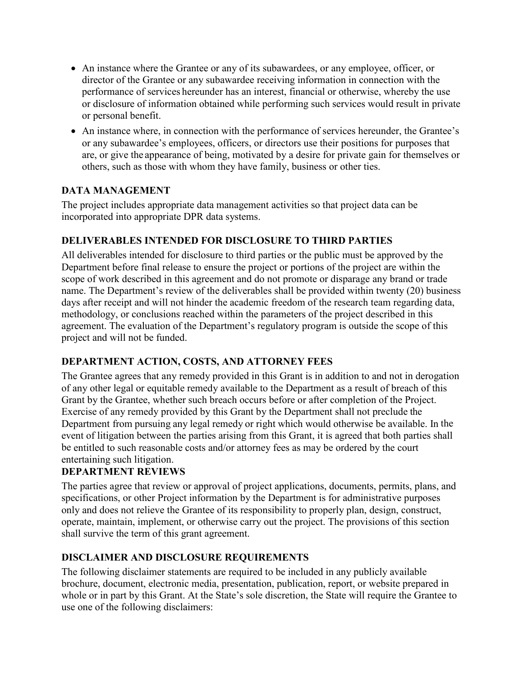- An instance where the Grantee or any of its subawardees, or any employee, officer, or director of the Grantee or any subawardee receiving information in connection with the performance of services hereunder has an interest, financial or otherwise, whereby the use or disclosure of information obtained while performing such services would result in private or personal benefit.
- An instance where, in connection with the performance of services hereunder, the Grantee's or any subawardee's employees, officers, or directors use their positions for purposes that are, or give the appearance of being, motivated by a desire for private gain for themselves or others, such as those with whom they have family, business or other ties.

### **DATA MANAGEMENT**

The project includes appropriate data management activities so that project data can be incorporated into appropriate DPR data systems.

### **DELIVERABLES INTENDED FOR DISCLOSURE TO THIRD PARTIES**

All deliverables intended for disclosure to third parties or the public must be approved by the Department before final release to ensure the project or portions of the project are within the scope of work described in this agreement and do not promote or disparage any brand or trade name. The Department's review of the deliverables shall be provided within twenty (20) business days after receipt and will not hinder the academic freedom of the research team regarding data, methodology, or conclusions reached within the parameters of the project described in this agreement. The evaluation of the Department's regulatory program is outside the scope of this project and will not be funded.

### **DEPARTMENT ACTION, COSTS, AND ATTORNEY FEES**

The Grantee agrees that any remedy provided in this Grant is in addition to and not in derogation of any other legal or equitable remedy available to the Department as a result of breach of this Grant by the Grantee, whether such breach occurs before or after completion of the Project. Exercise of any remedy provided by this Grant by the Department shall not preclude the Department from pursuing any legal remedy or right which would otherwise be available. In the event of litigation between the parties arising from this Grant, it is agreed that both parties shall be entitled to such reasonable costs and/or attorney fees as may be ordered by the court entertaining such litigation.

### **DEPARTMENT REVIEWS**

The parties agree that review or approval of project applications, documents, permits, plans, and specifications, or other Project information by the Department is for administrative purposes only and does not relieve the Grantee of its responsibility to properly plan, design, construct, operate, maintain, implement, or otherwise carry out the project. The provisions of this section shall survive the term of this grant agreement.

### **DISCLAIMER AND DISCLOSURE REQUIREMENTS**

The following disclaimer statements are required to be included in any publicly available brochure, document, electronic media, presentation, publication, report, or website prepared in whole or in part by this Grant. At the State's sole discretion, the State will require the Grantee to use one of the following disclaimers: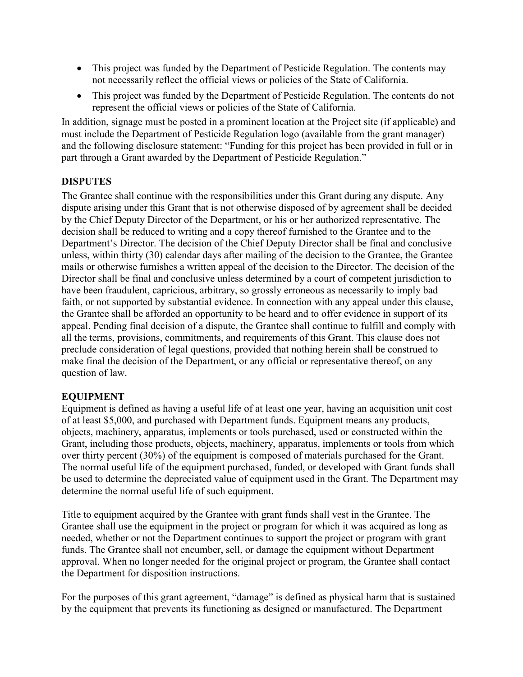- This project was funded by the Department of Pesticide Regulation. The contents may not necessarily reflect the official views or policies of the State of California.
- This project was funded by the Department of Pesticide Regulation. The contents do not represent the official views or policies of the State of California.

In addition, signage must be posted in a prominent location at the Project site (if applicable) and must include the Department of Pesticide Regulation logo (available from the grant manager) and the following disclosure statement: "Funding for this project has been provided in full or in part through a Grant awarded by the Department of Pesticide Regulation."

### **DISPUTES**

The Grantee shall continue with the responsibilities under this Grant during any dispute. Any dispute arising under this Grant that is not otherwise disposed of by agreement shall be decided by the Chief Deputy Director of the Department, or his or her authorized representative. The decision shall be reduced to writing and a copy thereof furnished to the Grantee and to the Department's Director. The decision of the Chief Deputy Director shall be final and conclusive unless, within thirty (30) calendar days after mailing of the decision to the Grantee, the Grantee mails or otherwise furnishes a written appeal of the decision to the Director. The decision of the Director shall be final and conclusive unless determined by a court of competent jurisdiction to have been fraudulent, capricious, arbitrary, so grossly erroneous as necessarily to imply bad faith, or not supported by substantial evidence. In connection with any appeal under this clause, the Grantee shall be afforded an opportunity to be heard and to offer evidence in support of its appeal. Pending final decision of a dispute, the Grantee shall continue to fulfill and comply with all the terms, provisions, commitments, and requirements of this Grant. This clause does not preclude consideration of legal questions, provided that nothing herein shall be construed to make final the decision of the Department, or any official or representative thereof, on any question of law.

### **EQUIPMENT**

Equipment is defined as having a useful life of at least one year, having an acquisition unit cost of at least \$5,000, and purchased with Department funds. Equipment means any products, objects, machinery, apparatus, implements or tools purchased, used or constructed within the Grant, including those products, objects, machinery, apparatus, implements or tools from which over thirty percent (30%) of the equipment is composed of materials purchased for the Grant. The normal useful life of the equipment purchased, funded, or developed with Grant funds shall be used to determine the depreciated value of equipment used in the Grant. The Department may determine the normal useful life of such equipment.

Title to equipment acquired by the Grantee with grant funds shall vest in the Grantee. The Grantee shall use the equipment in the project or program for which it was acquired as long as needed, whether or not the Department continues to support the project or program with grant funds. The Grantee shall not encumber, sell, or damage the equipment without Department approval. When no longer needed for the original project or program, the Grantee shall contact the Department for disposition instructions.

For the purposes of this grant agreement, "damage" is defined as physical harm that is sustained by the equipment that prevents its functioning as designed or manufactured. The Department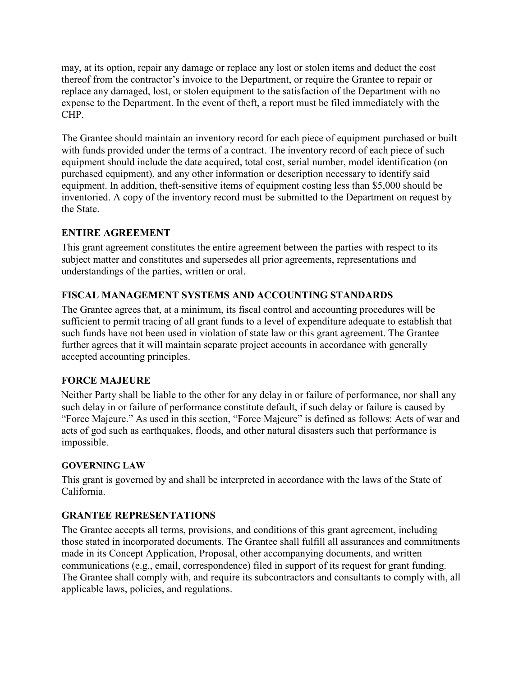may, at its option, repair any damage or replace any lost or stolen items and deduct the cost thereof from the contractor's invoice to the Department, or require the Grantee to repair or replace any damaged, lost, or stolen equipment to the satisfaction of the Department with no expense to the Department. In the event of theft, a report must be filed immediately with the CHP.

The Grantee should maintain an inventory record for each piece of equipment purchased or built with funds provided under the terms of a contract. The inventory record of each piece of such equipment should include the date acquired, total cost, serial number, model identification (on purchased equipment), and any other information or description necessary to identify said equipment. In addition, theft-sensitive items of equipment costing less than \$5,000 should be inventoried. A copy of the inventory record must be submitted to the Department on request by the State.

### **ENTIRE AGREEMENT**

This grant agreement constitutes the entire agreement between the parties with respect to its subject matter and constitutes and supersedes all prior agreements, representations and understandings of the parties, written or oral.

### **FISCAL MANAGEMENT SYSTEMS AND ACCOUNTING STANDARDS**

The Grantee agrees that, at a minimum, its fiscal control and accounting procedures will be sufficient to permit tracing of all grant funds to a level of expenditure adequate to establish that such funds have not been used in violation of state law or this grant agreement. The Grantee further agrees that it will maintain separate project accounts in accordance with generally accepted accounting principles.

### **FORCE MAJEURE**

Neither Party shall be liable to the other for any delay in or failure of performance, nor shall any such delay in or failure of performance constitute default, if such delay or failure is caused by "Force Majeure." As used in this section, "Force Majeure" is defined as follows: Acts of war and acts of god such as earthquakes, floods, and other natural disasters such that performance is impossible.

### **GOVERNING LAW**

This grant is governed by and shall be interpreted in accordance with the laws of the State of California.

### **GRANTEE REPRESENTATIONS**

The Grantee accepts all terms, provisions, and conditions of this grant agreement, including those stated in incorporated documents. The Grantee shall fulfill all assurances and commitments made in its Concept Application, Proposal, other accompanying documents, and written communications (e.g., email, correspondence) filed in support of its request for grant funding. The Grantee shall comply with, and require its subcontractors and consultants to comply with, all applicable laws, policies, and regulations.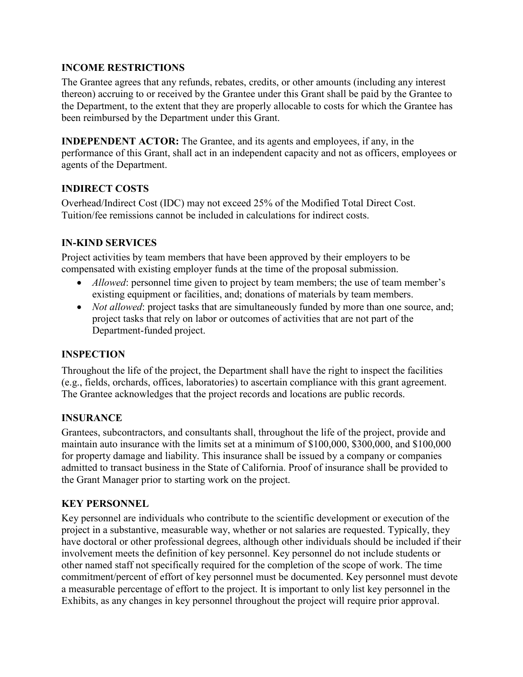### **INCOME RESTRICTIONS**

The Grantee agrees that any refunds, rebates, credits, or other amounts (including any interest thereon) accruing to or received by the Grantee under this Grant shall be paid by the Grantee to the Department, to the extent that they are properly allocable to costs for which the Grantee has been reimbursed by the Department under this Grant.

**INDEPENDENT ACTOR:** The Grantee, and its agents and employees, if any, in the performance of this Grant, shall act in an independent capacity and not as officers, employees or agents of the Department.

### **INDIRECT COSTS**

Overhead/Indirect Cost (IDC) may not exceed 25% of the Modified Total Direct Cost. Tuition/fee remissions cannot be included in calculations for indirect costs.

### **IN-KIND SERVICES**

Project activities by team members that have been approved by their employers to be compensated with existing employer funds at the time of the proposal submission.

- *Allowed*: personnel time given to project by team members; the use of team member's existing equipment or facilities, and; donations of materials by team members.
- *Not allowed*: project tasks that are simultaneously funded by more than one source, and; project tasks that rely on labor or outcomes of activities that are not part of the Department-funded project.

### **INSPECTION**

Throughout the life of the project, the Department shall have the right to inspect the facilities (e.g., fields, orchards, offices, laboratories) to ascertain compliance with this grant agreement. The Grantee acknowledges that the project records and locations are public records.

### **INSURANCE**

Grantees, subcontractors, and consultants shall, throughout the life of the project, provide and maintain auto insurance with the limits set at a minimum of \$100,000, \$300,000, and \$100,000 for property damage and liability. This insurance shall be issued by a company or companies admitted to transact business in the State of California. Proof of insurance shall be provided to the Grant Manager prior to starting work on the project.

### **KEY PERSONNEL**

Key personnel are individuals who contribute to the scientific development or execution of the project in a substantive, measurable way, whether or not salaries are requested. Typically, they have doctoral or other professional degrees, although other individuals should be included if their involvement meets the definition of key personnel. Key personnel do not include students or other named staff not specifically required for the completion of the scope of work. The time commitment/percent of effort of key personnel must be documented. Key personnel must devote a measurable percentage of effort to the project. It is important to only list key personnel in the Exhibits, as any changes in key personnel throughout the project will require prior approval.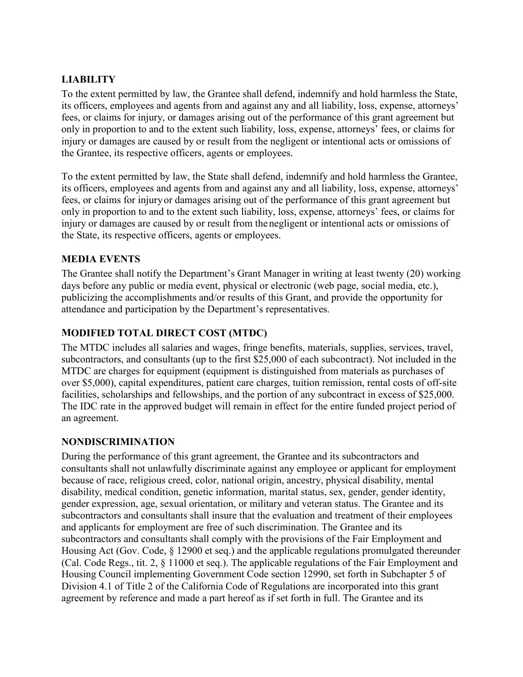### **LIABILITY**

To the extent permitted by law, the Grantee shall defend, indemnify and hold harmless the State, its officers, employees and agents from and against any and all liability, loss, expense, attorneys' fees, or claims for injury, or damages arising out of the performance of this grant agreement but only in proportion to and to the extent such liability, loss, expense, attorneys' fees, or claims for injury or damages are caused by or result from the negligent or intentional acts or omissions of the Grantee, its respective officers, agents or employees.

To the extent permitted by law, the State shall defend, indemnify and hold harmless the Grantee, its officers, employees and agents from and against any and all liability, loss, expense, attorneys' fees, or claims for injury or damages arising out of the performance of this grant agreement but only in proportion to and to the extent such liability, loss, expense, attorneys' fees, or claims for injury or damages are caused by or result from the negligent or intentional acts or omissions of the State, its respective officers, agents or employees.

### **MEDIA EVENTS**

The Grantee shall notify the Department's Grant Manager in writing at least twenty (20) working days before any public or media event, physical or electronic (web page, social media, etc.), publicizing the accomplishments and/or results of this Grant, and provide the opportunity for attendance and participation by the Department's representatives.

### **MODIFIED TOTAL DIRECT COST (MTDC)**

The MTDC includes all salaries and wages, fringe benefits, materials, supplies, services, travel, subcontractors, and consultants (up to the first \$25,000 of each subcontract). Not included in the MTDC are charges for equipment (equipment is distinguished from materials as purchases of over \$5,000), capital expenditures, patient care charges, tuition remission, rental costs of off-site facilities, scholarships and fellowships, and the portion of any subcontract in excess of \$25,000. The IDC rate in the approved budget will remain in effect for the entire funded project period of an agreement.

#### **NONDISCRIMINATION**

During the performance of this grant agreement, the Grantee and its subcontractors and consultants shall not unlawfully discriminate against any employee or applicant for employment because of race, religious creed, color, national origin, ancestry, physical disability, mental disability, medical condition, genetic information, marital status, sex, gender, gender identity, gender expression, age, sexual orientation, or military and veteran status. The Grantee and its subcontractors and consultants shall insure that the evaluation and treatment of their employees and applicants for employment are free of such discrimination. The Grantee and its subcontractors and consultants shall comply with the provisions of the Fair Employment and Housing Act (Gov. Code, § 12900 et seq.) and the applicable regulations promulgated thereunder (Cal. Code Regs., tit. 2, § 11000 et seq.). The applicable regulations of the Fair Employment and Housing Council implementing Government Code section 12990, set forth in Subchapter 5 of Division 4.1 of Title 2 of the California Code of Regulations are incorporated into this grant agreement by reference and made a part hereof as if set forth in full. The Grantee and its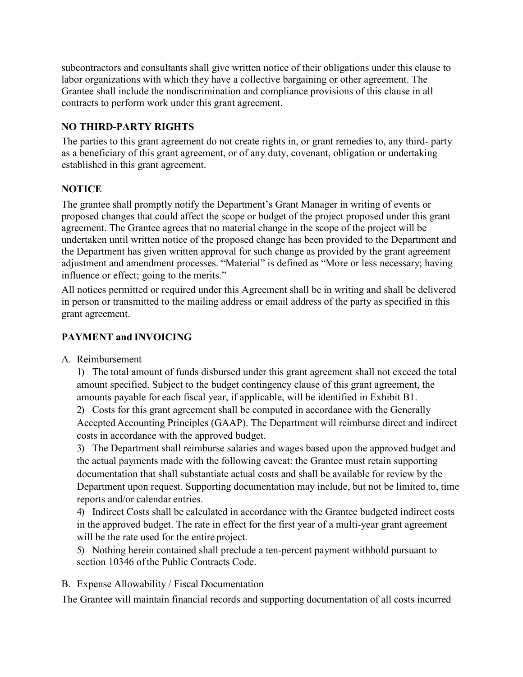subcontractors and consultants shall give written notice of their obligations under this clause to labor organizations with which they have a collective bargaining or other agreement. The Grantee shall include the nondiscrimination and compliance provisions of this clause in all contracts to perform work under this grant agreement.

### **NO THIRD-PARTY RIGHTS**

The parties to this grant agreement do not create rights in, or grant remedies to, any third- party as a beneficiary of this grant agreement, or of any duty, covenant, obligation or undertaking established in this grant agreement.

## **NOTICE**

The grantee shall promptly notify the Department's Grant Manager in writing of events or proposed changes that could affect the scope or budget of the project proposed under this grant agreement. The Grantee agrees that no material change in the scope of the project will be undertaken until written notice of the proposed change has been provided to the Department and the Department has given written approval for such change as provided by the grant agreement adjustment and amendment processes. "Material" is defined as "More or less necessary; having influence or effect; going to the merits."

All notices permitted or required under this Agreement shall be in writing and shall be delivered in person or transmitted to the mailing address or email address of the party as specified in this grant agreement.

### **PAYMENT and INVOICING**

A. Reimbursement

1) The total amount of funds disbursed under this grant agreement shall not exceed the total amount specified. Subject to the budget contingency clause of this grant agreement, the amounts payable for each fiscal year, if applicable, will be identified in Exhibit B1.

2) Costs for this grant agreement shall be computed in accordance with the Generally Accepted Accounting Principles (GAAP). The Department will reimburse direct and indirect costs in accordance with the approved budget.

3) The Department shall reimburse salaries and wages based upon the approved budget and the actual payments made with the following caveat: the Grantee must retain supporting documentation that shall substantiate actual costs and shall be available for review by the Department upon request. Supporting documentation may include, but not be limited to, time reports and/or calendar entries.

4) Indirect Costs shall be calculated in accordance with the Grantee budgeted indirect costs in the approved budget. The rate in effect for the first year of a multi-year grant agreement will be the rate used for the entire project.

5) Nothing herein contained shall preclude a ten-percent payment withhold pursuant to section 10346 of the Public Contracts Code.

B. Expense Allowability / Fiscal Documentation

The Grantee will maintain financial records and supporting documentation of all costs incurred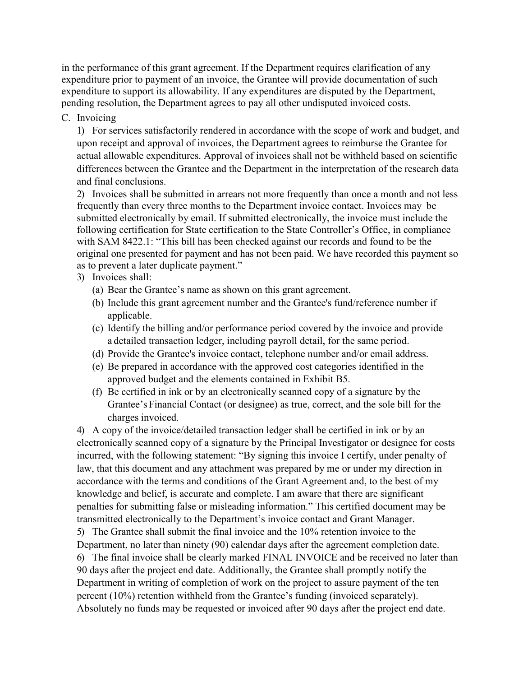in the performance of this grant agreement. If the Department requires clarification of any expenditure prior to payment of an invoice, the Grantee will provide documentation of such expenditure to support its allowability. If any expenditures are disputed by the Department, pending resolution, the Department agrees to pay all other undisputed invoiced costs.

#### C. Invoicing

1) For services satisfactorily rendered in accordance with the scope of work and budget, and upon receipt and approval of invoices, the Department agrees to reimburse the Grantee for actual allowable expenditures. Approval of invoices shall not be withheld based on scientific differences between the Grantee and the Department in the interpretation of the research data and final conclusions.

2) Invoices shall be submitted in arrears not more frequently than once a month and not less frequently than every three months to the Department invoice contact. Invoices may be submitted electronically by email. If submitted electronically, the invoice must include the following certification for State certification to the State Controller's Office, in compliance with SAM 8422.1: "This bill has been checked against our records and found to be the original one presented for payment and has not been paid. We have recorded this payment so as to prevent a later duplicate payment."

- 3) Invoices shall:
	- (a) Bear the Grantee's name as shown on this grant agreement.
	- (b) Include this grant agreement number and the Grantee's fund/reference number if applicable.
	- (c) Identify the billing and/or performance period covered by the invoice and provide a detailed transaction ledger, including payroll detail, for the same period.
	- (d) Provide the Grantee's invoice contact, telephone number and/or email address.
	- (e) Be prepared in accordance with the approved cost categories identified in the approved budget and the elements contained in Exhibit B5.
	- (f) Be certified in ink or by an electronically scanned copy of a signature by the Grantee's Financial Contact (or designee) as true, correct, and the sole bill for the charges invoiced.

4) A copy of the invoice/detailed transaction ledger shall be certified in ink or by an electronically scanned copy of a signature by the Principal Investigator or designee for costs incurred, with the following statement: "By signing this invoice I certify, under penalty of law, that this document and any attachment was prepared by me or under my direction in accordance with the terms and conditions of the Grant Agreement and, to the best of my knowledge and belief, is accurate and complete. I am aware that there are significant penalties for submitting false or misleading information." This certified document may be transmitted electronically to the Department's invoice contact and Grant Manager. 5) The Grantee shall submit the final invoice and the 10% retention invoice to the Department, no later than ninety (90) calendar days after the agreement completion date. 6) The final invoice shall be clearly marked FINAL INVOICE and be received no later than 90 days after the project end date. Additionally, the Grantee shall promptly notify the Department in writing of completion of work on the project to assure payment of the ten percent (10%) retention withheld from the Grantee's funding (invoiced separately). Absolutely no funds may be requested or invoiced after 90 days after the project end date.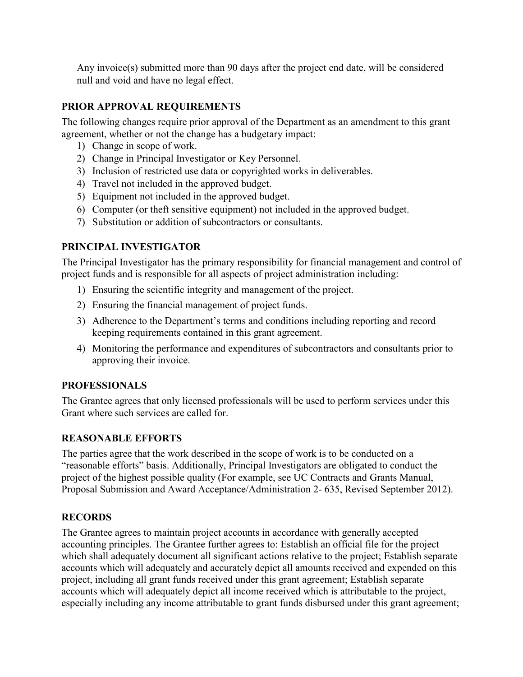Any invoice(s) submitted more than 90 days after the project end date, will be considered null and void and have no legal effect.

### **PRIOR APPROVAL REQUIREMENTS**

The following changes require prior approval of the Department as an amendment to this grant agreement, whether or not the change has a budgetary impact:

- 1) Change in scope of work.
- 2) Change in Principal Investigator or Key Personnel.
- 3) Inclusion of restricted use data or copyrighted works in deliverables.
- 4) Travel not included in the approved budget.
- 5) Equipment not included in the approved budget.
- 6) Computer (or theft sensitive equipment) not included in the approved budget.
- 7) Substitution or addition of subcontractors or consultants.

### **PRINCIPAL INVESTIGATOR**

The Principal Investigator has the primary responsibility for financial management and control of project funds and is responsible for all aspects of project administration including:

- 1) Ensuring the scientific integrity and management of the project.
- 2) Ensuring the financial management of project funds.
- 3) Adherence to the Department's terms and conditions including reporting and record keeping requirements contained in this grant agreement.
- 4) Monitoring the performance and expenditures of subcontractors and consultants prior to approving their invoice.

### **PROFESSIONALS**

The Grantee agrees that only licensed professionals will be used to perform services under this Grant where such services are called for.

### **REASONABLE EFFORTS**

The parties agree that the work described in the scope of work is to be conducted on a "reasonable efforts" basis. Additionally, Principal Investigators are obligated to conduct the project of the highest possible quality (For example, see UC Contracts and Grants Manual, Proposal Submission and Award Acceptance/Administration 2- 635, Revised September 2012).

### **RECORDS**

The Grantee agrees to maintain project accounts in accordance with generally accepted accounting principles. The Grantee further agrees to: Establish an official file for the project which shall adequately document all significant actions relative to the project; Establish separate accounts which will adequately and accurately depict all amounts received and expended on this project, including all grant funds received under this grant agreement; Establish separate accounts which will adequately depict all income received which is attributable to the project, especially including any income attributable to grant funds disbursed under this grant agreement;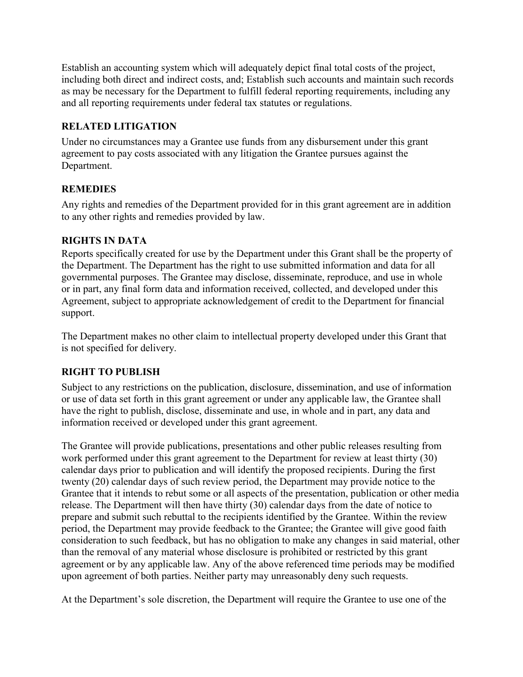Establish an accounting system which will adequately depict final total costs of the project, including both direct and indirect costs, and; Establish such accounts and maintain such records as may be necessary for the Department to fulfill federal reporting requirements, including any and all reporting requirements under federal tax statutes or regulations.

### **RELATED LITIGATION**

Under no circumstances may a Grantee use funds from any disbursement under this grant agreement to pay costs associated with any litigation the Grantee pursues against the Department.

### **REMEDIES**

Any rights and remedies of the Department provided for in this grant agreement are in addition to any other rights and remedies provided by law.

### **RIGHTS IN DATA**

Reports specifically created for use by the Department under this Grant shall be the property of the Department. The Department has the right to use submitted information and data for all governmental purposes. The Grantee may disclose, disseminate, reproduce, and use in whole or in part, any final form data and information received, collected, and developed under this Agreement, subject to appropriate acknowledgement of credit to the Department for financial support.

The Department makes no other claim to intellectual property developed under this Grant that is not specified for delivery.

# **RIGHT TO PUBLISH**

Subject to any restrictions on the publication, disclosure, dissemination, and use of information or use of data set forth in this grant agreement or under any applicable law, the Grantee shall have the right to publish, disclose, disseminate and use, in whole and in part, any data and information received or developed under this grant agreement.

The Grantee will provide publications, presentations and other public releases resulting from work performed under this grant agreement to the Department for review at least thirty (30) calendar days prior to publication and will identify the proposed recipients. During the first twenty (20) calendar days of such review period, the Department may provide notice to the Grantee that it intends to rebut some or all aspects of the presentation, publication or other media release. The Department will then have thirty (30) calendar days from the date of notice to prepare and submit such rebuttal to the recipients identified by the Grantee. Within the review period, the Department may provide feedback to the Grantee; the Grantee will give good faith consideration to such feedback, but has no obligation to make any changes in said material, other than the removal of any material whose disclosure is prohibited or restricted by this grant agreement or by any applicable law. Any of the above referenced time periods may be modified upon agreement of both parties. Neither party may unreasonably deny such requests.

At the Department's sole discretion, the Department will require the Grantee to use one of the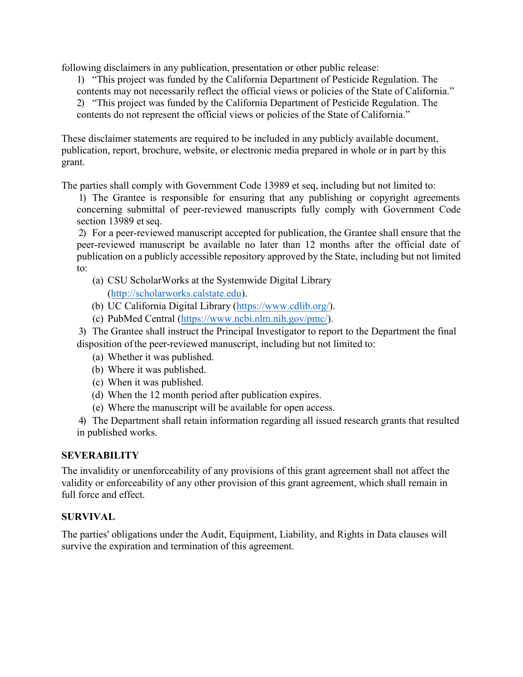following disclaimers in any publication, presentation or other public release:

1) "This project was funded by the California Department of Pesticide Regulation. The contents may not necessarily reflect the official views or policies of the State of California." 2) "This project was funded by the California Department of Pesticide Regulation. The contents do not represent the official views or policies of the State of California."

These disclaimer statements are required to be included in any publicly available document, publication, report, brochure, website, or electronic media prepared in whole or in part by this grant.

The parties shall comply with Government Code 13989 et seq, including but not limited to:

1) The Grantee is responsible for ensuring that any publishing or copyright agreements concerning submittal of peer-reviewed manuscripts fully comply with Government Code section 13989 et seq.

2) For a peer-reviewed manuscript accepted for publication, the Grantee shall ensure that the peer-reviewed manuscript be available no later than 12 months after the official date of publication on a publicly accessible repository approved by the State, including but not limited to:

- (a) CSU ScholarWorks at the Systemwide Digital Library (http://[scholarworks.calstate.edu](http://scholarworks.calstate.edu)).
- (b) UC California Digital Library (http[s://www](http://www.cdlib.org/))[.cdlib.org/\).](http://www.cdlib.org/)
- (c) PubMed Central (https:[//www.ncbi.nlm.nih.gov/pmc/\).](http://www.ncbi.nlm.nih.gov/pmc/)

3) The Grantee shall instruct the Principal Investigator to report to the Department the final disposition of the peer-reviewed manuscript, including but not limited to:

- (a) Whether it was published.
- (b) Where it was published.
- (c) When it was published.
- (d) When the 12 month period after publication expires.
- (e) Where the manuscript will be available for open access.

4) The Department shall retain information regarding all issued research grants that resulted in published works.

### **SEVERABILITY**

The invalidity or unenforceability of any provisions of this grant agreement shall not affect the validity or enforceability of any other provision of this grant agreement, which shall remain in full force and effect.

### **SURVIVAL**

The parties' obligations under the Audit, Equipment, Liability, and Rights in Data clauses will survive the expiration and termination of this agreement.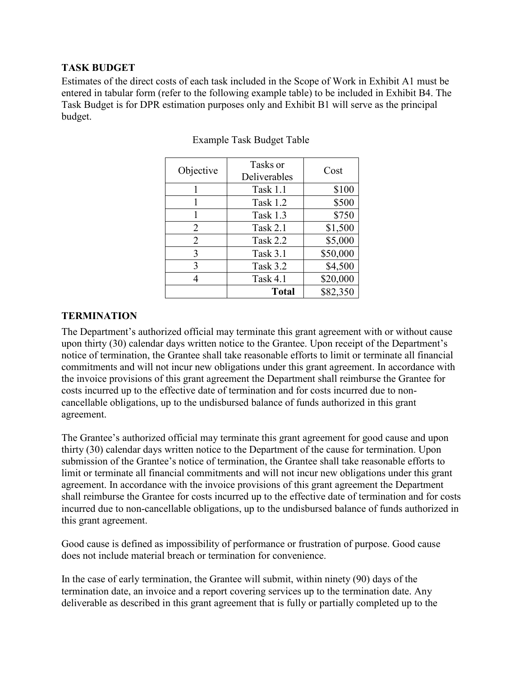### **TASK BUDGET**

Estimates of the direct costs of each task included in the Scope of Work in Exhibit A1 must be entered in tabular form (refer to the following example table) to be included in Exhibit B4. The Task Budget is for DPR estimation purposes only and Exhibit B1 will serve as the principal budget.

| Objective | Tasks or<br>Deliverables | Cost     |
|-----------|--------------------------|----------|
|           | Task 1.1                 | \$100    |
|           | Task 1.2                 | \$500    |
|           | Task 1.3                 | \$750    |
| 2         | Task $2.1$               | \$1,500  |
| 2         | Task 2.2                 | \$5,000  |
| 3         | <b>Task 3.1</b>          | \$50,000 |
| 3         | Task 3.2                 | \$4,500  |
|           | Task 4.1                 | \$20,000 |
|           | <b>Total</b>             | \$82,350 |

#### Example Task Budget Table

### **TERMINATION**

The Department's authorized official may terminate this grant agreement with or without cause upon thirty (30) calendar days written notice to the Grantee. Upon receipt of the Department's notice of termination, the Grantee shall take reasonable efforts to limit or terminate all financial commitments and will not incur new obligations under this grant agreement. In accordance with the invoice provisions of this grant agreement the Department shall reimburse the Grantee for costs incurred up to the effective date of termination and for costs incurred due to noncancellable obligations, up to the undisbursed balance of funds authorized in this grant agreement.

The Grantee's authorized official may terminate this grant agreement for good cause and upon thirty (30) calendar days written notice to the Department of the cause for termination. Upon submission of the Grantee's notice of termination, the Grantee shall take reasonable efforts to limit or terminate all financial commitments and will not incur new obligations under this grant agreement. In accordance with the invoice provisions of this grant agreement the Department shall reimburse the Grantee for costs incurred up to the effective date of termination and for costs incurred due to non-cancellable obligations, up to the undisbursed balance of funds authorized in this grant agreement.

Good cause is defined as impossibility of performance or frustration of purpose. Good cause does not include material breach or termination for convenience.

In the case of early termination, the Grantee will submit, within ninety (90) days of the termination date, an invoice and a report covering services up to the termination date. Any deliverable as described in this grant agreement that is fully or partially completed up to the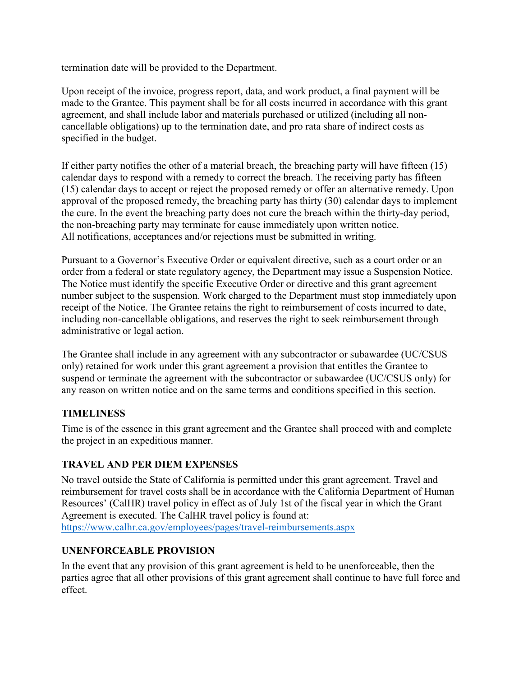termination date will be provided to the Department.

Upon receipt of the invoice, progress report, data, and work product, a final payment will be made to the Grantee. This payment shall be for all costs incurred in accordance with this grant agreement, and shall include labor and materials purchased or utilized (including all noncancellable obligations) up to the termination date, and pro rata share of indirect costs as specified in the budget.

If either party notifies the other of a material breach, the breaching party will have fifteen (15) calendar days to respond with a remedy to correct the breach. The receiving party has fifteen (15) calendar days to accept or reject the proposed remedy or offer an alternative remedy. Upon approval of the proposed remedy, the breaching party has thirty (30) calendar days to implement the cure. In the event the breaching party does not cure the breach within the thirty-day period, the non-breaching party may terminate for cause immediately upon written notice. All notifications, acceptances and/or rejections must be submitted in writing.

Pursuant to a Governor's Executive Order or equivalent directive, such as a court order or an order from a federal or state regulatory agency, the Department may issue a Suspension Notice. The Notice must identify the specific Executive Order or directive and this grant agreement number subject to the suspension. Work charged to the Department must stop immediately upon receipt of the Notice. The Grantee retains the right to reimbursement of costs incurred to date, including non-cancellable obligations, and reserves the right to seek reimbursement through administrative or legal action.

The Grantee shall include in any agreement with any subcontractor or subawardee (UC/CSUS only) retained for work under this grant agreement a provision that entitles the Grantee to suspend or terminate the agreement with the subcontractor or subawardee (UC/CSUS only) for any reason on written notice and on the same terms and conditions specified in this section.

### **TIMELINESS**

Time is of the essence in this grant agreement and the Grantee shall proceed with and complete the project in an expeditious manner.

### **TRAVEL AND PER DIEM EXPENSES**

No travel outside the State of California is permitted under this grant agreement. Travel and reimbursement for travel costs shall be in accordance with the California Department of Human Resources' (CalHR) travel policy in effect as of July 1st of the fiscal year in which the Grant Agreement is executed. The CalHR travel policy is found at: <https://www.calhr.ca.gov/employees/pages/travel-reimbursements.aspx>

### **UNENFORCEABLE PROVISION**

In the event that any provision of this grant agreement is held to be unenforceable, then the parties agree that all other provisions of this grant agreement shall continue to have full force and effect.